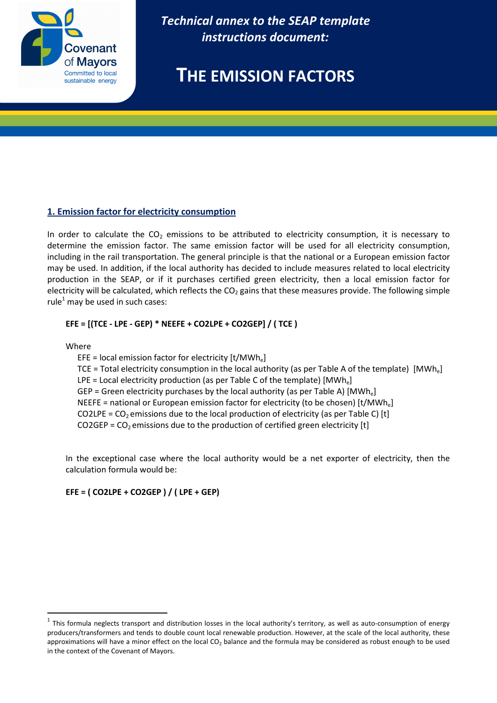

*Technical annex to the SEAP template instructions document:* 

# **THE EMISSION FACTORS**

## **1. Emission factor for electricity consumption**

In order to calculate the  $CO<sub>2</sub>$  emissions to be attributed to electricity consumption, it is necessary to determine the emission factor. The same emission factor will be used for all electricity consumption, including in the rail transportation. The general principle is that the national or a European emission factor may be used. In addition, if the local authority has decided to include measures related to local electricity production in the SEAP, or if it purchases certified green electricity, then a local emission factor for electricity will be calculated, which reflects the  $CO<sub>2</sub>$  gains that these measures provide. The following simple rule<sup>1</sup> may be used in such cases:

## **EFE = [(TCE - LPE - GEP) \* NEEFE + CO2LPE + CO2GEP] / ( TCE )**

Where

 $\overline{a}$ 

EFE = local emission factor for electricity  $[t/MWh_e]$ TCE = Total electricity consumption in the local authority (as per Table A of the template)  $[MWh_e]$ LPE = Local electricity production (as per Table C of the template)  $[MWh_e]$ GEP = Green electricity purchases by the local authority (as per Table A)  $[MWh_e]$ NEEFE = national or European emission factor for electricity (to be chosen)  $[t/MWh_e]$ CO2LPE =  $CO<sub>2</sub>$  emissions due to the local production of electricity (as per Table C) [t] CO2GEP =  $CO<sub>2</sub>$  emissions due to the production of certified green electricity [t]

In the exceptional case where the local authority would be a net exporter of electricity, then the calculation formula would be:

## **EFE = ( CO2LPE + CO2GEP ) / ( LPE + GEP)**

 $^{\rm 1}$  This formula neglects transport and distribution losses in the local authority's territory, as well as auto-consumption of energy producers/transformers and tends to double count local renewable production. However, at the scale of the local authority, these approximations will have a minor effect on the local CO<sub>2</sub> balance and the formula may be considered as robust enough to be used in the context of the Covenant of Mayors.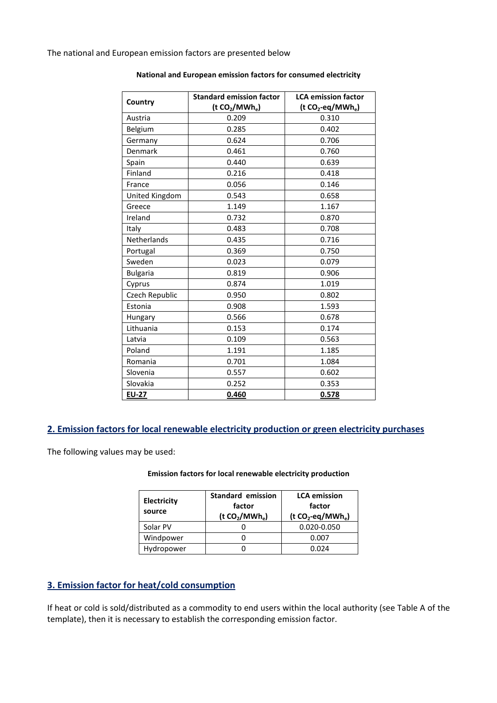The national and European emission factors are presented below

| Country         | <b>Standard emission factor</b>        | <b>LCA emission factor</b>                |
|-----------------|----------------------------------------|-------------------------------------------|
|                 | (t CO <sub>2</sub> /MWh <sub>e</sub> ) | (t CO <sub>2</sub> -eq/MWh <sub>e</sub> ) |
| Austria         | 0.209                                  | 0.310                                     |
| Belgium         | 0.285                                  | 0.402                                     |
| Germany         | 0.624                                  | 0.706                                     |
| Denmark         | 0.461                                  | 0.760                                     |
| Spain           | 0.440                                  | 0.639                                     |
| Finland         | 0.216                                  | 0.418                                     |
| France          | 0.056                                  | 0.146                                     |
| United Kingdom  | 0.543                                  | 0.658                                     |
| Greece          | 1.149                                  | 1.167                                     |
| Ireland         | 0.732                                  | 0.870                                     |
| Italy           | 0.483                                  | 0.708                                     |
| Netherlands     | 0.435                                  | 0.716                                     |
| Portugal        | 0.369                                  | 0.750                                     |
| Sweden          | 0.023                                  | 0.079                                     |
| <b>Bulgaria</b> | 0.819                                  | 0.906                                     |
| Cyprus          | 0.874                                  | 1.019                                     |
| Czech Republic  | 0.950                                  | 0.802                                     |
| Estonia         | 0.908                                  | 1.593                                     |
| Hungary         | 0.566                                  | 0.678                                     |
| Lithuania       | 0.153                                  | 0.174                                     |
| Latvia          | 0.109                                  | 0.563                                     |
| Poland          | 1.191                                  | 1.185                                     |
| Romania         | 0.701                                  | 1.084                                     |
| Slovenia        | 0.557                                  | 0.602                                     |
| Slovakia        | 0.252                                  | 0.353                                     |
| <b>EU-27</b>    | 0.460                                  | 0.578                                     |

#### **National and European emission factors for consumed electricity**

## **2. Emission factors for local renewable electricity production or green electricity purchases**

The following values may be used:

#### **Emission factors for local renewable electricity production**

| Electricity<br>source | <b>Standard emission</b><br>factor<br>(t CO <sub>2</sub> /MWh <sub>e</sub> ) | <b>LCA</b> emission<br>factor<br>$(t CO2-eq/MWha)$ |
|-----------------------|------------------------------------------------------------------------------|----------------------------------------------------|
| Solar PV              |                                                                              | 0.020-0.050                                        |
| Windpower             |                                                                              | 0.007                                              |
| Hydropower            |                                                                              | 0.024                                              |

## **3. Emission factor for heat/cold consumption**

If heat or cold is sold/distributed as a commodity to end users within the local authority (see Table A of the template), then it is necessary to establish the corresponding emission factor.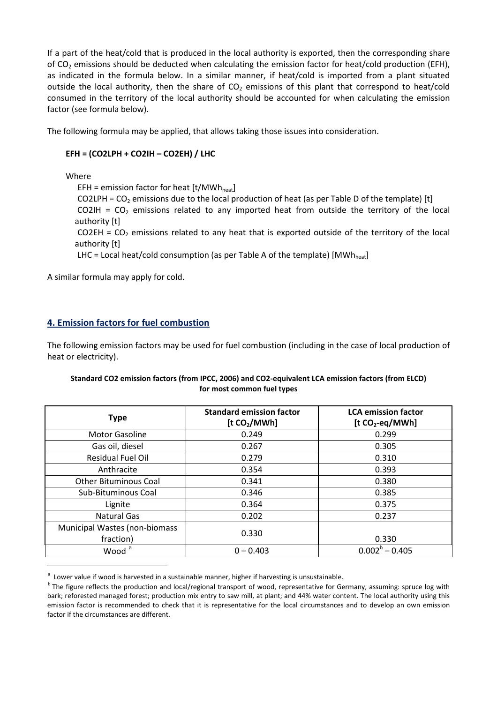If a part of the heat/cold that is produced in the local authority is exported, then the corresponding share of  $CO<sub>2</sub>$  emissions should be deducted when calculating the emission factor for heat/cold production (EFH), as indicated in the formula below. In a similar manner, if heat/cold is imported from a plant situated outside the local authority, then the share of  $CO<sub>2</sub>$  emissions of this plant that correspond to heat/cold consumed in the territory of the local authority should be accounted for when calculating the emission factor (see formula below).

The following formula may be applied, that allows taking those issues into consideration.

## **EFH = (CO2LPH + CO2IH – CO2EH) / LHC**

Where

 $\overline{a}$ 

EFH = emission factor for heat  $[t/MWh<sub>heat}]</sub>$ 

CO2LPH =  $CO<sub>2</sub>$  emissions due to the local production of heat (as per Table D of the template) [t] CO2IH =  $CO<sub>2</sub>$  emissions related to any imported heat from outside the territory of the local authority [t]

CO2EH =  $CO<sub>2</sub>$  emissions related to any heat that is exported outside of the territory of the local authority [t]

LHC = Local heat/cold consumption (as per Table A of the template) [MWh<sub>heat</sub>]

A similar formula may apply for cold.

## **4. Emission factors for fuel combustion**

The following emission factors may be used for fuel combustion (including in the case of local production of heat or electricity).

### **Standard CO2 emission factors (from IPCC, 2006) and CO2-equivalent LCA emission factors (from ELCD) for most common fuel types**

| <b>Type</b>                                | <b>Standard emission factor</b><br>[t CO <sub>2</sub> /MWh] | <b>LCA emission factor</b><br>$[t CO2-eq/MWh]$ |
|--------------------------------------------|-------------------------------------------------------------|------------------------------------------------|
| <b>Motor Gasoline</b>                      | 0.249                                                       | 0.299                                          |
| Gas oil, diesel                            | 0.267                                                       | 0.305                                          |
| <b>Residual Fuel Oil</b>                   | 0.279                                                       | 0.310                                          |
| Anthracite                                 | 0.354                                                       | 0.393                                          |
| <b>Other Bituminous Coal</b>               | 0.341                                                       | 0.380                                          |
| Sub-Bituminous Coal                        | 0.346                                                       | 0.385                                          |
| Lignite                                    | 0.364                                                       | 0.375                                          |
| <b>Natural Gas</b>                         | 0.202                                                       | 0.237                                          |
| Municipal Wastes (non-biomass<br>fraction) | 0.330                                                       | 0.330                                          |
| Wood <sup>a</sup>                          | $0 - 0.403$                                                 | $0.002^b - 0.405$                              |

<sup>&</sup>lt;sup>a</sup> Lower value if wood is harvested in a sustainable manner, higher if harvesting is unsustainable.

<sup>&</sup>lt;sup>b</sup> The figure reflects the production and local/regional transport of wood, representative for Germany, assuming: spruce log with bark; reforested managed forest; production mix entry to saw mill, at plant; and 44% water content. The local authority using this emission factor is recommended to check that it is representative for the local circumstances and to develop an own emission factor if the circumstances are different.